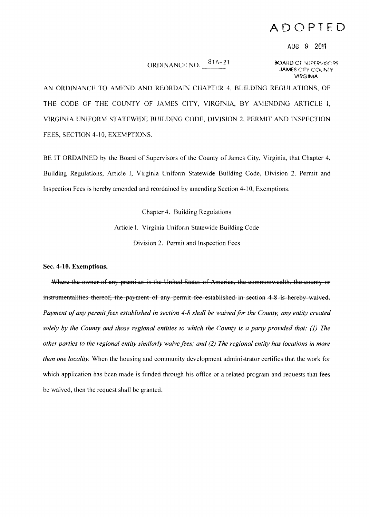## **ADOPTED**

## AUG 9 2011

## ORDINANCE NO.  $\frac{81A-21}{1}$  80ARD OF "UPERVISORS"

JAMES CITY COUNTY **VIRGINIA** 

AN ORDINANCE TO AMEND AND REORDAIN CHAPTER 4, BUILDING REGULATIONS, OF THE CODE OF THE COUNTY OF JAMES CITY, VIRGINIA, BY AMENDING ARTICLE **I,**  VIRGINIA UNIFORM STATEWIDE BUILDING CODE, DIVISION 2, PERMIT AND INSPECTION FEES, SECTION 4-10, EXEMPTIONS.

BE IT ORDAINED by the Board of Supervisors of the County of James City, Virginia, that Chapter 4, Building Regulations, Article I, Virginia Uniform Statewide Building Code, Division 2. Permit and Inspection Fees is hereby amended and reordained by amending Section 4-10, Exemptions.

> Chapter 4. Building Regulations Article I. Virginia Uniform Statewide Building Code Division 2. Permit and Inspection Fees

**Sec. 4-10. Exemptions.** 

Where the owner of any premises is the United States of America, the commonwealth, the county or instrumentalities thereof, the payment of any permit fee established in section 4 8 is hereby waived. Payment of any permit fees established in section 4-8 shall be waived for the County, any entity created *solely by the County and those regional entities to which the County is a party provided that:* (1) *The other parties to the regional entity similarly waive fees; and* (2) *The regional entity has locations in more than one locality.* When the housing and community development administrator certifies that the work for which application has been made is funded through his office or a related program and requests that fees be waived, then the request shall be granted.